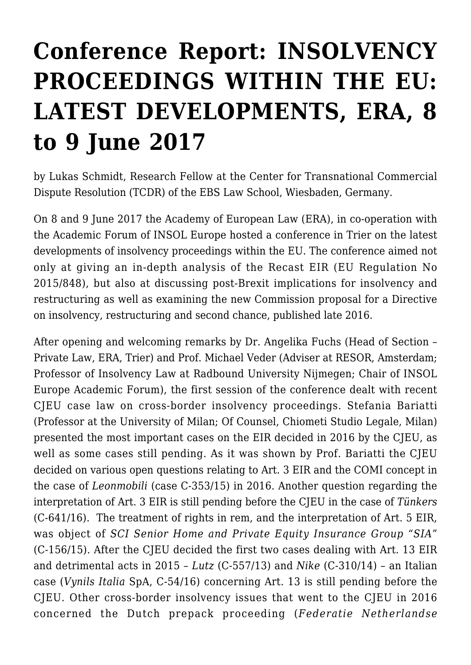## **[Conference Report: INSOLVENCY](https://conflictoflaws.net/2017/conference-report-insolvency-proceedings-within-the-eu-latest-developments-era-8-to-9-june-2017/) [PROCEEDINGS WITHIN THE EU:](https://conflictoflaws.net/2017/conference-report-insolvency-proceedings-within-the-eu-latest-developments-era-8-to-9-june-2017/) [LATEST DEVELOPMENTS, ERA, 8](https://conflictoflaws.net/2017/conference-report-insolvency-proceedings-within-the-eu-latest-developments-era-8-to-9-june-2017/) [to 9 June 2017](https://conflictoflaws.net/2017/conference-report-insolvency-proceedings-within-the-eu-latest-developments-era-8-to-9-june-2017/)**

by Lukas Schmidt, Research Fellow at the Center for Transnational Commercial Dispute Resolution (TCDR) of the EBS Law School, Wiesbaden, Germany.

On 8 and 9 June 2017 the Academy of European Law (ERA), in co-operation with the Academic Forum of INSOL Europe hosted a conference in Trier on the latest developments of insolvency proceedings within the EU. The conference aimed not only at giving an in-depth analysis of the Recast EIR (EU Regulation No 2015/848), but also at discussing post-Brexit implications for insolvency and restructuring as well as examining the new Commission proposal for a Directive on insolvency, restructuring and second chance, published late 2016.

After opening and welcoming remarks by Dr. Angelika Fuchs (Head of Section – Private Law, ERA, Trier) and Prof. Michael Veder (Adviser at RESOR, Amsterdam; Professor of Insolvency Law at Radbound University Nijmegen; Chair of INSOL Europe Academic Forum), the first session of the conference dealt with recent CJEU case law on cross-border insolvency proceedings. Stefania Bariatti (Professor at the University of Milan; Of Counsel, Chiometi Studio Legale, Milan) presented the most important cases on the EIR decided in 2016 by the CJEU, as well as some cases still pending. As it was shown by Prof. Bariatti the CJEU decided on various open questions relating to Art. 3 EIR and the COMI concept in the case of *Leonmobili* (case C-353/15) in 2016. Another question regarding the interpretation of Art. 3 EIR is still pending before the CJEU in the case of *Tünkers* (C-641/16). The treatment of rights in rem, and the interpretation of Art. 5 EIR, was object of *SCI Senior Home and Private Equity Insurance Group "SIA*" (C-156/15). After the CJEU decided the first two cases dealing with Art. 13 EIR and detrimental acts in 2015 – *Lutz* (C-557/13) and *Nike* (C-310/14) – an Italian case (*Vynils Italia* SpA, C-54/16) concerning Art. 13 is still pending before the CJEU. Other cross-border insolvency issues that went to the CJEU in 2016 concerned the Dutch prepack proceeding (*Federatie Netherlandse*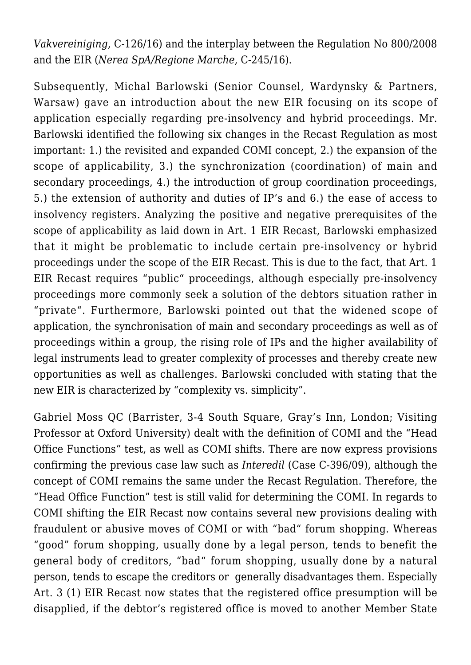*Vakvereiniging,* C-126/16) and the interplay between the Regulation No 800/2008 and the EIR (*Nerea SpA/Regione Marche*, C-245/16).

Subsequently, Michal Barlowski (Senior Counsel, Wardynsky & Partners, Warsaw) gave an introduction about the new EIR focusing on its scope of application especially regarding pre-insolvency and hybrid proceedings. Mr. Barlowski identified the following six changes in the Recast Regulation as most important: 1.) the revisited and expanded COMI concept, 2.) the expansion of the scope of applicability, 3.) the synchronization (coordination) of main and secondary proceedings, 4.) the introduction of group coordination proceedings, 5.) the extension of authority and duties of IP's and 6.) the ease of access to insolvency registers. Analyzing the positive and negative prerequisites of the scope of applicability as laid down in Art. 1 EIR Recast, Barlowski emphasized that it might be problematic to include certain pre-insolvency or hybrid proceedings under the scope of the EIR Recast. This is due to the fact, that Art. 1 EIR Recast requires "public" proceedings, although especially pre-insolvency proceedings more commonly seek a solution of the debtors situation rather in "private". Furthermore, Barlowski pointed out that the widened scope of application, the synchronisation of main and secondary proceedings as well as of proceedings within a group, the rising role of IPs and the higher availability of legal instruments lead to greater complexity of processes and thereby create new opportunities as well as challenges. Barlowski concluded with stating that the new EIR is characterized by "complexity vs. simplicity".

Gabriel Moss QC (Barrister, 3-4 South Square, Gray's Inn, London; Visiting Professor at Oxford University) dealt with the definition of COMI and the "Head Office Functions" test, as well as COMI shifts. There are now express provisions confirming the previous case law such as *Interedil* (Case C-396/09), although the concept of COMI remains the same under the Recast Regulation. Therefore, the "Head Office Function" test is still valid for determining the COMI. In regards to COMI shifting the EIR Recast now contains several new provisions dealing with fraudulent or abusive moves of COMI or with "bad" forum shopping. Whereas "good" forum shopping, usually done by a legal person, tends to benefit the general body of creditors, "bad" forum shopping, usually done by a natural person, tends to escape the creditors or generally disadvantages them. Especially Art. 3 (1) EIR Recast now states that the registered office presumption will be disapplied, if the debtor's registered office is moved to another Member State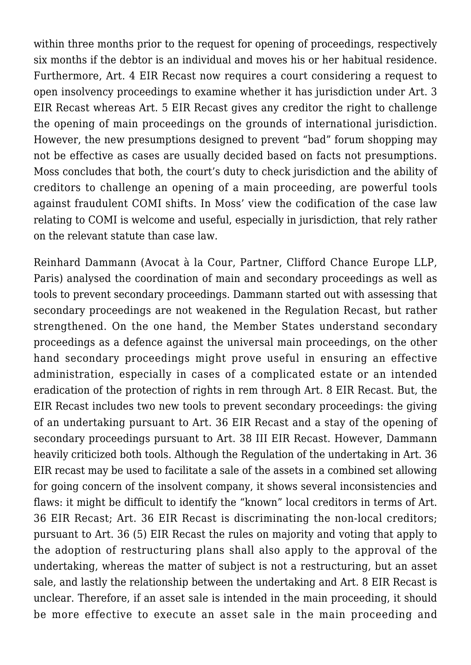within three months prior to the request for opening of proceedings, respectively six months if the debtor is an individual and moves his or her habitual residence. Furthermore, Art. 4 EIR Recast now requires a court considering a request to open insolvency proceedings to examine whether it has jurisdiction under Art. 3 EIR Recast whereas Art. 5 EIR Recast gives any creditor the right to challenge the opening of main proceedings on the grounds of international jurisdiction. However, the new presumptions designed to prevent "bad" forum shopping may not be effective as cases are usually decided based on facts not presumptions. Moss concludes that both, the court's duty to check jurisdiction and the ability of creditors to challenge an opening of a main proceeding, are powerful tools against fraudulent COMI shifts. In Moss' view the codification of the case law relating to COMI is welcome and useful, especially in jurisdiction, that rely rather on the relevant statute than case law.

Reinhard Dammann (Avocat à la Cour, Partner, Clifford Chance Europe LLP, Paris) analysed the coordination of main and secondary proceedings as well as tools to prevent secondary proceedings. Dammann started out with assessing that secondary proceedings are not weakened in the Regulation Recast, but rather strengthened. On the one hand, the Member States understand secondary proceedings as a defence against the universal main proceedings, on the other hand secondary proceedings might prove useful in ensuring an effective administration, especially in cases of a complicated estate or an intended eradication of the protection of rights in rem through Art. 8 EIR Recast. But, the EIR Recast includes two new tools to prevent secondary proceedings: the giving of an undertaking pursuant to Art. 36 EIR Recast and a stay of the opening of secondary proceedings pursuant to Art. 38 III EIR Recast. However, Dammann heavily criticized both tools. Although the Regulation of the undertaking in Art. 36 EIR recast may be used to facilitate a sale of the assets in a combined set allowing for going concern of the insolvent company, it shows several inconsistencies and flaws: it might be difficult to identify the "known" local creditors in terms of Art. 36 EIR Recast; Art. 36 EIR Recast is discriminating the non-local creditors; pursuant to Art. 36 (5) EIR Recast the rules on majority and voting that apply to the adoption of restructuring plans shall also apply to the approval of the undertaking, whereas the matter of subject is not a restructuring, but an asset sale, and lastly the relationship between the undertaking and Art. 8 EIR Recast is unclear. Therefore, if an asset sale is intended in the main proceeding, it should be more effective to execute an asset sale in the main proceeding and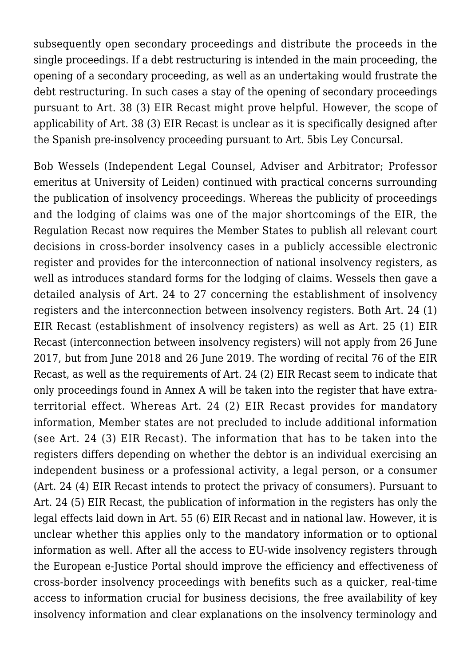subsequently open secondary proceedings and distribute the proceeds in the single proceedings. If a debt restructuring is intended in the main proceeding, the opening of a secondary proceeding, as well as an undertaking would frustrate the debt restructuring. In such cases a stay of the opening of secondary proceedings pursuant to Art. 38 (3) EIR Recast might prove helpful. However, the scope of applicability of Art. 38 (3) EIR Recast is unclear as it is specifically designed after the Spanish pre-insolvency proceeding pursuant to Art. 5bis Ley Concursal.

Bob Wessels (Independent Legal Counsel, Adviser and Arbitrator; Professor emeritus at University of Leiden) continued with practical concerns surrounding the publication of insolvency proceedings. Whereas the publicity of proceedings and the lodging of claims was one of the major shortcomings of the EIR, the Regulation Recast now requires the Member States to publish all relevant court decisions in cross-border insolvency cases in a publicly accessible electronic register and provides for the interconnection of national insolvency registers, as well as introduces standard forms for the lodging of claims. Wessels then gave a detailed analysis of Art. 24 to 27 concerning the establishment of insolvency registers and the interconnection between insolvency registers. Both Art. 24 (1) EIR Recast (establishment of insolvency registers) as well as Art. 25 (1) EIR Recast (interconnection between insolvency registers) will not apply from 26 June 2017, but from June 2018 and 26 June 2019. The wording of recital 76 of the EIR Recast, as well as the requirements of Art. 24 (2) EIR Recast seem to indicate that only proceedings found in Annex A will be taken into the register that have extraterritorial effect. Whereas Art. 24 (2) EIR Recast provides for mandatory information, Member states are not precluded to include additional information (see Art. 24 (3) EIR Recast). The information that has to be taken into the registers differs depending on whether the debtor is an individual exercising an independent business or a professional activity, a legal person, or a consumer (Art. 24 (4) EIR Recast intends to protect the privacy of consumers). Pursuant to Art. 24 (5) EIR Recast, the publication of information in the registers has only the legal effects laid down in Art. 55 (6) EIR Recast and in national law. However, it is unclear whether this applies only to the mandatory information or to optional information as well. After all the access to EU-wide insolvency registers through the European e-Justice Portal should improve the efficiency and effectiveness of cross-border insolvency proceedings with benefits such as a quicker, real-time access to information crucial for business decisions, the free availability of key insolvency information and clear explanations on the insolvency terminology and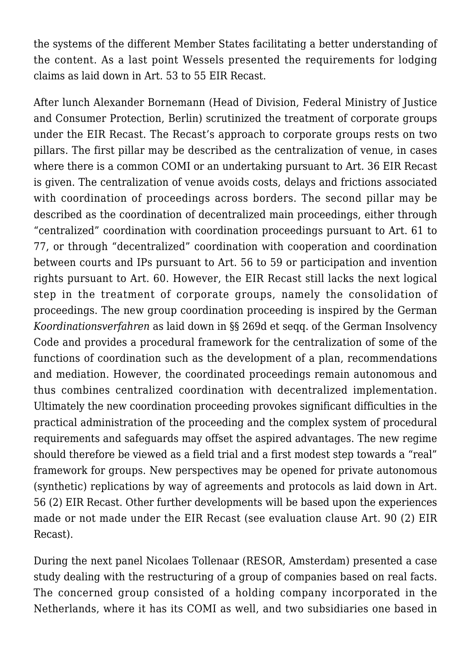the systems of the different Member States facilitating a better understanding of the content. As a last point Wessels presented the requirements for lodging claims as laid down in Art. 53 to 55 EIR Recast.

After lunch Alexander Bornemann (Head of Division, Federal Ministry of Justice and Consumer Protection, Berlin) scrutinized the treatment of corporate groups under the EIR Recast. The Recast's approach to corporate groups rests on two pillars. The first pillar may be described as the centralization of venue, in cases where there is a common COMI or an undertaking pursuant to Art. 36 EIR Recast is given. The centralization of venue avoids costs, delays and frictions associated with coordination of proceedings across borders. The second pillar may be described as the coordination of decentralized main proceedings, either through "centralized" coordination with coordination proceedings pursuant to Art. 61 to 77, or through "decentralized" coordination with cooperation and coordination between courts and IPs pursuant to Art. 56 to 59 or participation and invention rights pursuant to Art. 60. However, the EIR Recast still lacks the next logical step in the treatment of corporate groups, namely the consolidation of proceedings. The new group coordination proceeding is inspired by the German *Koordinationsverfahren* as laid down in §§ 269d et seqq. of the German Insolvency Code and provides a procedural framework for the centralization of some of the functions of coordination such as the development of a plan, recommendations and mediation. However, the coordinated proceedings remain autonomous and thus combines centralized coordination with decentralized implementation. Ultimately the new coordination proceeding provokes significant difficulties in the practical administration of the proceeding and the complex system of procedural requirements and safeguards may offset the aspired advantages. The new regime should therefore be viewed as a field trial and a first modest step towards a "real" framework for groups. New perspectives may be opened for private autonomous (synthetic) replications by way of agreements and protocols as laid down in Art. 56 (2) EIR Recast. Other further developments will be based upon the experiences made or not made under the EIR Recast (see evaluation clause Art. 90 (2) EIR Recast).

During the next panel Nicolaes Tollenaar (RESOR, Amsterdam) presented a case study dealing with the restructuring of a group of companies based on real facts. The concerned group consisted of a holding company incorporated in the Netherlands, where it has its COMI as well, and two subsidiaries one based in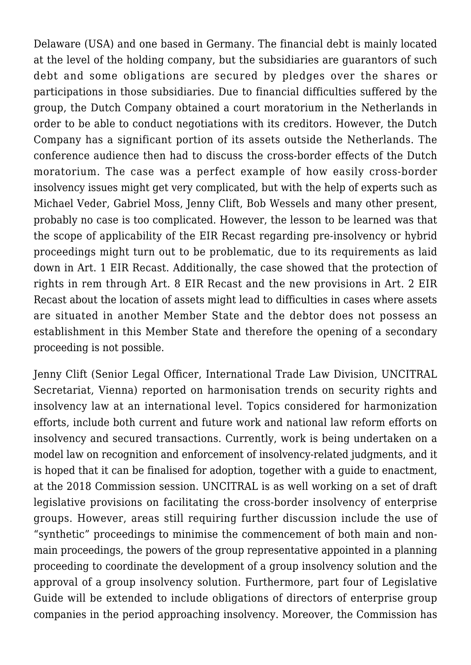Delaware (USA) and one based in Germany. The financial debt is mainly located at the level of the holding company, but the subsidiaries are guarantors of such debt and some obligations are secured by pledges over the shares or participations in those subsidiaries. Due to financial difficulties suffered by the group, the Dutch Company obtained a court moratorium in the Netherlands in order to be able to conduct negotiations with its creditors. However, the Dutch Company has a significant portion of its assets outside the Netherlands. The conference audience then had to discuss the cross-border effects of the Dutch moratorium. The case was a perfect example of how easily cross-border insolvency issues might get very complicated, but with the help of experts such as Michael Veder, Gabriel Moss, Jenny Clift, Bob Wessels and many other present, probably no case is too complicated. However, the lesson to be learned was that the scope of applicability of the EIR Recast regarding pre-insolvency or hybrid proceedings might turn out to be problematic, due to its requirements as laid down in Art. 1 EIR Recast. Additionally, the case showed that the protection of rights in rem through Art. 8 EIR Recast and the new provisions in Art. 2 EIR Recast about the location of assets might lead to difficulties in cases where assets are situated in another Member State and the debtor does not possess an establishment in this Member State and therefore the opening of a secondary proceeding is not possible.

Jenny Clift (Senior Legal Officer, International Trade Law Division, UNCITRAL Secretariat, Vienna) reported on harmonisation trends on security rights and insolvency law at an international level. Topics considered for harmonization efforts, include both current and future work and national law reform efforts on insolvency and secured transactions. Currently, work is being undertaken on a model law on recognition and enforcement of insolvency-related judgments, and it is hoped that it can be finalised for adoption, together with a guide to enactment, at the 2018 Commission session. UNCITRAL is as well working on a set of draft legislative provisions on facilitating the cross-border insolvency of enterprise groups. However, areas still requiring further discussion include the use of "synthetic" proceedings to minimise the commencement of both main and nonmain proceedings, the powers of the group representative appointed in a planning proceeding to coordinate the development of a group insolvency solution and the approval of a group insolvency solution. Furthermore, part four of Legislative Guide will be extended to include obligations of directors of enterprise group companies in the period approaching insolvency. Moreover, the Commission has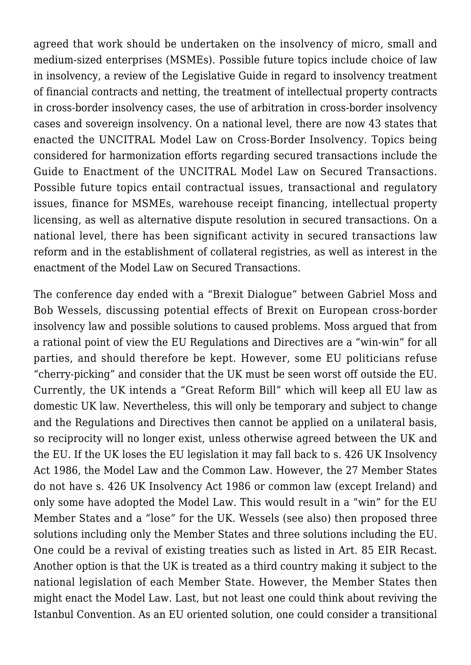agreed that work should be undertaken on the insolvency of micro, small and medium-sized enterprises (MSMEs). Possible future topics include choice of law in insolvency, a review of the Legislative Guide in regard to insolvency treatment of financial contracts and netting, the treatment of intellectual property contracts in cross-border insolvency cases, the use of arbitration in cross-border insolvency cases and sovereign insolvency. On a national level, there are now 43 states that enacted the UNCITRAL Model Law on Cross-Border Insolvency. Topics being considered for harmonization efforts regarding secured transactions include the Guide to Enactment of the UNCITRAL Model Law on Secured Transactions. Possible future topics entail contractual issues, transactional and regulatory issues, finance for MSMEs, warehouse receipt financing, intellectual property licensing, as well as alternative dispute resolution in secured transactions. On a national level, there has been significant activity in secured transactions law reform and in the establishment of collateral registries, as well as interest in the enactment of the Model Law on Secured Transactions.

The conference day ended with a "Brexit Dialogue" between Gabriel Moss and Bob Wessels, discussing potential effects of Brexit on European cross-border insolvency law and possible solutions to caused problems. Moss argued that from a rational point of view the EU Regulations and Directives are a "win-win" for all parties, and should therefore be kept. However, some EU politicians refuse "cherry-picking" and consider that the UK must be seen worst off outside the EU. Currently, the UK intends a "Great Reform Bill" which will keep all EU law as domestic UK law. Nevertheless, this will only be temporary and subject to change and the Regulations and Directives then cannot be applied on a unilateral basis, so reciprocity will no longer exist, unless otherwise agreed between the UK and the EU. If the UK loses the EU legislation it may fall back to s. 426 UK Insolvency Act 1986, the Model Law and the Common Law. However, the 27 Member States do not have s. 426 UK Insolvency Act 1986 or common law (except Ireland) and only some have adopted the Model Law. This would result in a "win" for the EU Member States and a "lose" for the UK. Wessels ([see also\)](http://bobwessels.nl/2017/06/2017-06-doc4-eu-insolvency-law-after-brexit/?utm_source=feedburner&utm_medium=feed&utm_campaign=Feed%3A+bobwessels+%28Prof.+Dr.+Bob+Wessels%29)) then proposed three solutions including only the Member States and three solutions including the EU. One could be a revival of existing treaties such as listed in Art. 85 EIR Recast. Another option is that the UK is treated as a third country making it subject to the national legislation of each Member State. However, the Member States then might enact the Model Law. Last, but not least one could think about reviving the Istanbul Convention. As an EU oriented solution, one could consider a transitional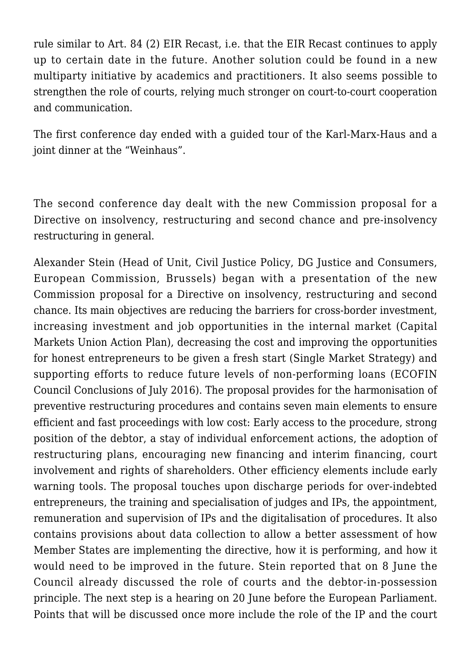rule similar to Art. 84 (2) EIR Recast, i.e. that the EIR Recast continues to apply up to certain date in the future. Another solution could be found in a new multiparty initiative by academics and practitioners. It also seems possible to strengthen the role of courts, relying much stronger on court-to-court cooperation and communication.

The first conference day ended with a guided tour of the Karl-Marx-Haus and a joint dinner at the "Weinhaus".

The second conference day dealt with the new Commission proposal for a Directive on insolvency, restructuring and second chance and pre-insolvency restructuring in general.

Alexander Stein (Head of Unit, Civil Justice Policy, DG Justice and Consumers, European Commission, Brussels) began with a presentation of the new Commission proposal for a Directive on insolvency, restructuring and second chance. Its main objectives are reducing the barriers for cross-border investment, increasing investment and job opportunities in the internal market (Capital Markets Union Action Plan), decreasing the cost and improving the opportunities for honest entrepreneurs to be given a fresh start (Single Market Strategy) and supporting efforts to reduce future levels of non-performing loans (ECOFIN Council Conclusions of July 2016). The proposal provides for the harmonisation of preventive restructuring procedures and contains seven main elements to ensure efficient and fast proceedings with low cost: Early access to the procedure, strong position of the debtor, a stay of individual enforcement actions, the adoption of restructuring plans, encouraging new financing and interim financing, court involvement and rights of shareholders. Other efficiency elements include early warning tools. The proposal touches upon discharge periods for over-indebted entrepreneurs, the training and specialisation of judges and IPs, the appointment, remuneration and supervision of IPs and the digitalisation of procedures. It also contains provisions about data collection to allow a better assessment of how Member States are implementing the directive, how it is performing, and how it would need to be improved in the future. Stein reported that on 8 June the Council already discussed the role of courts and the debtor-in-possession principle. The next step is a hearing on 20 June before the European Parliament. Points that will be discussed once more include the role of the IP and the court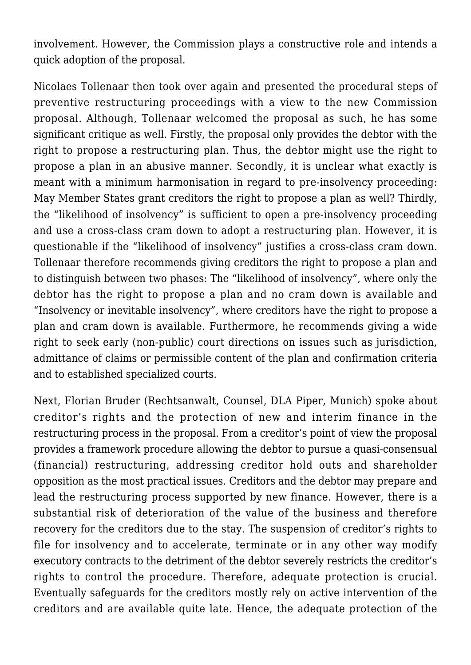involvement. However, the Commission plays a constructive role and intends a quick adoption of the proposal.

Nicolaes Tollenaar then took over again and presented the procedural steps of preventive restructuring proceedings with a view to the new Commission proposal. Although, Tollenaar welcomed the proposal as such, he has some significant critique as well. Firstly, the proposal only provides the debtor with the right to propose a restructuring plan. Thus, the debtor might use the right to propose a plan in an abusive manner. Secondly, it is unclear what exactly is meant with a minimum harmonisation in regard to pre-insolvency proceeding: May Member States grant creditors the right to propose a plan as well? Thirdly, the "likelihood of insolvency" is sufficient to open a pre-insolvency proceeding and use a cross-class cram down to adopt a restructuring plan. However, it is questionable if the "likelihood of insolvency" justifies a cross-class cram down. Tollenaar therefore recommends giving creditors the right to propose a plan and to distinguish between two phases: The "likelihood of insolvency", where only the debtor has the right to propose a plan and no cram down is available and "Insolvency or inevitable insolvency", where creditors have the right to propose a plan and cram down is available. Furthermore, he recommends giving a wide right to seek early (non-public) court directions on issues such as jurisdiction, admittance of claims or permissible content of the plan and confirmation criteria and to established specialized courts.

Next, Florian Bruder (Rechtsanwalt, Counsel, DLA Piper, Munich) spoke about creditor's rights and the protection of new and interim finance in the restructuring process in the proposal. From a creditor's point of view the proposal provides a framework procedure allowing the debtor to pursue a quasi-consensual (financial) restructuring, addressing creditor hold outs and shareholder opposition as the most practical issues. Creditors and the debtor may prepare and lead the restructuring process supported by new finance. However, there is a substantial risk of deterioration of the value of the business and therefore recovery for the creditors due to the stay. The suspension of creditor's rights to file for insolvency and to accelerate, terminate or in any other way modify executory contracts to the detriment of the debtor severely restricts the creditor's rights to control the procedure. Therefore, adequate protection is crucial. Eventually safeguards for the creditors mostly rely on active intervention of the creditors and are available quite late. Hence, the adequate protection of the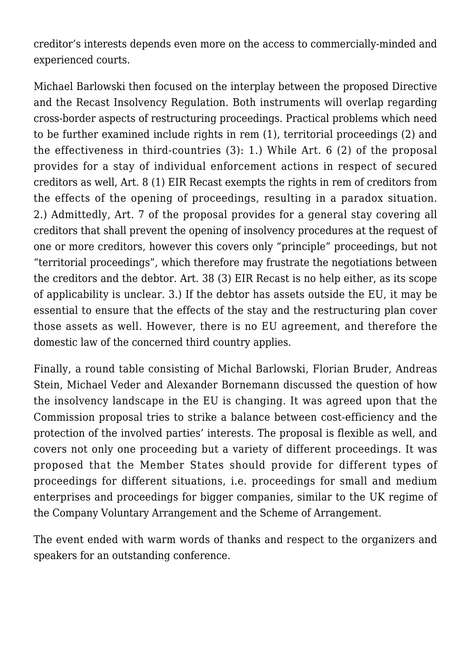creditor's interests depends even more on the access to commercially-minded and experienced courts.

Michael Barlowski then focused on the interplay between the proposed Directive and the Recast Insolvency Regulation. Both instruments will overlap regarding cross-border aspects of restructuring proceedings. Practical problems which need to be further examined include rights in rem (1), territorial proceedings (2) and the effectiveness in third-countries (3): 1.) While Art. 6 (2) of the proposal provides for a stay of individual enforcement actions in respect of secured creditors as well, Art. 8 (1) EIR Recast exempts the rights in rem of creditors from the effects of the opening of proceedings, resulting in a paradox situation. 2.) Admittedly, Art. 7 of the proposal provides for a general stay covering all creditors that shall prevent the opening of insolvency procedures at the request of one or more creditors, however this covers only "principle" proceedings, but not "territorial proceedings", which therefore may frustrate the negotiations between the creditors and the debtor. Art. 38 (3) EIR Recast is no help either, as its scope of applicability is unclear. 3.) If the debtor has assets outside the EU, it may be essential to ensure that the effects of the stay and the restructuring plan cover those assets as well. However, there is no EU agreement, and therefore the domestic law of the concerned third country applies.

Finally, a round table consisting of Michal Barlowski, Florian Bruder, Andreas Stein, Michael Veder and Alexander Bornemann discussed the question of how the insolvency landscape in the EU is changing. It was agreed upon that the Commission proposal tries to strike a balance between cost-efficiency and the protection of the involved parties' interests. The proposal is flexible as well, and covers not only one proceeding but a variety of different proceedings. It was proposed that the Member States should provide for different types of proceedings for different situations, i.e. proceedings for small and medium enterprises and proceedings for bigger companies, similar to the UK regime of the Company Voluntary Arrangement and the Scheme of Arrangement.

The event ended with warm words of thanks and respect to the organizers and speakers for an outstanding conference.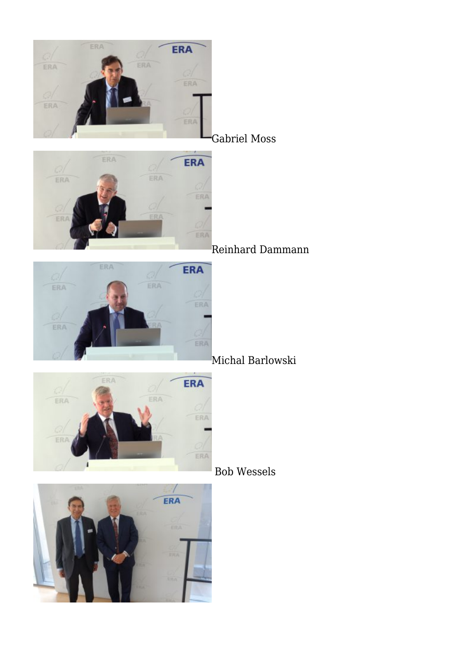

Reinhard Dammann